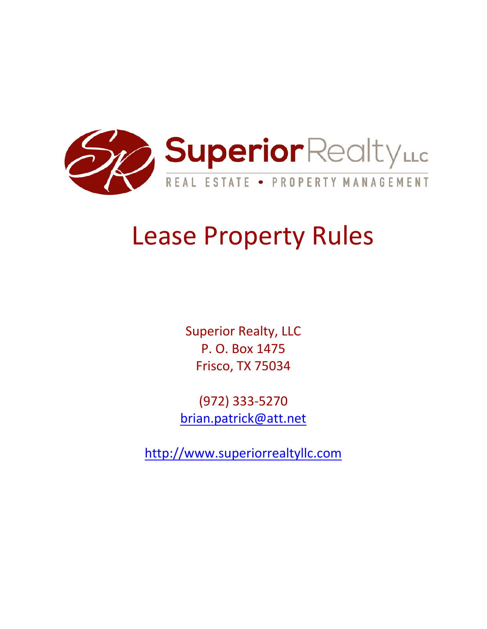

## Lease Property Rules

Superior Realty, LLC P. O. Box 1475 Frisco, TX 75034

(972) 333‐5270 brian.patrick@att.net

http://www.superiorrealtyllc.com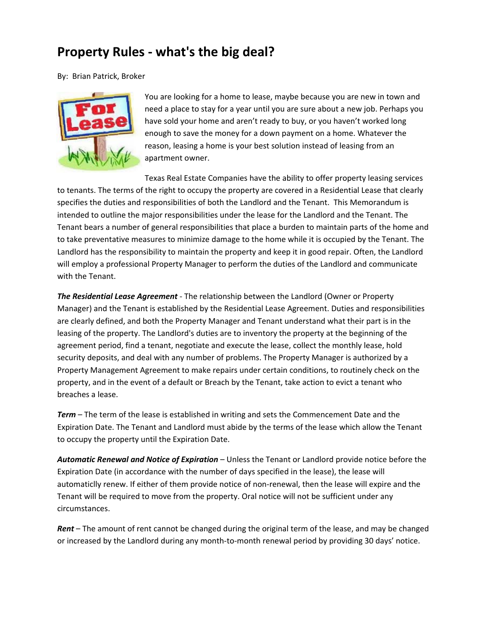## **Property Rules ‐ what's the big deal?**

By: Brian Patrick, Broker



You are looking for a home to lease, maybe because you are new in town and need a place to stay for a year until you are sure about a new job. Perhaps you have sold your home and aren't ready to buy, or you haven't worked long enough to save the money for a down payment on a home. Whatever the reason, leasing a home is your best solution instead of leasing from an apartment owner.

Texas Real Estate Companies have the ability to offer property leasing services to tenants. The terms of the right to occupy the property are covered in a Residential Lease that clearly specifies the duties and responsibilities of both the Landlord and the Tenant. This Memorandum is intended to outline the major responsibilities under the lease for the Landlord and the Tenant. The Tenant bears a number of general responsibilities that place a burden to maintain parts of the home and to take preventative measures to minimize damage to the home while it is occupied by the Tenant. The Landlord has the responsibility to maintain the property and keep it in good repair. Often, the Landlord will employ a professional Property Manager to perform the duties of the Landlord and communicate with the Tenant.

*The Residential Lease Agreement* ‐ The relationship between the Landlord (Owner or Property Manager) and the Tenant is established by the Residential Lease Agreement. Duties and responsibilities are clearly defined, and both the Property Manager and Tenant understand what their part is in the leasing of the property. The Landlord's duties are to inventory the property at the beginning of the agreement period, find a tenant, negotiate and execute the lease, collect the monthly lease, hold security deposits, and deal with any number of problems. The Property Manager is authorized by a Property Management Agreement to make repairs under certain conditions, to routinely check on the property, and in the event of a default or Breach by the Tenant, take action to evict a tenant who breaches a lease.

*Term* – The term of the lease is established in writing and sets the Commencement Date and the Expiration Date. The Tenant and Landlord must abide by the terms of the lease which allow the Tenant to occupy the property until the Expiration Date.

*Automatic Renewal and Notice of Expiration* – Unless the Tenant or Landlord provide notice before the Expiration Date (in accordance with the number of days specified in the lease), the lease will automaticlly renew. If either of them provide notice of non-renewal, then the lease will expire and the Tenant will be required to move from the property. Oral notice will not be sufficient under any circumstances.

*Rent* – The amount of rent cannot be changed during the original term of the lease, and may be changed or increased by the Landlord during any month‐to‐month renewal period by providing 30 days' notice.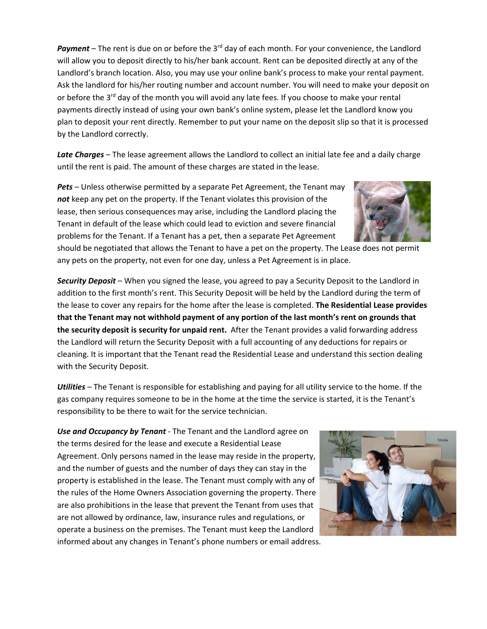**Payment** – The rent is due on or before the 3<sup>rd</sup> day of each month. For your convenience, the Landlord will allow you to deposit directly to his/her bank account. Rent can be deposited directly at any of the Landlord's branch location. Also, you may use your online bank's process to make your rental payment. Ask the landlord for his/her routing number and account number. You will need to make your deposit on or before the  $3<sup>rd</sup>$  day of the month you will avoid any late fees. If you choose to make your rental payments directly instead of using your own bank's online system, please let the Landlord know you plan to deposit your rent directly. Remember to put your name on the deposit slip so that it is processed by the Landlord correctly.

*Late Charges* – The lease agreement allows the Landlord to collect an initial late fee and a daily charge until the rent is paid. The amount of these charges are stated in the lease.

*Pets* – Unless otherwise permitted by a separate Pet Agreement, the Tenant may *not* keep any pet on the property. If the Tenant violates this provision of the lease, then serious consequences may arise, including the Landlord placing the Tenant in default of the lease which could lead to eviction and severe financial problems for the Tenant. If a Tenant has a pet, then a separate Pet Agreement

should be negotiated that allows the Tenant to have a pet on the property. The Lease does not permit any pets on the property, not even for one day, unless a Pet Agreement is in place.

*Security Deposit* – When you signed the lease, you agreed to pay a Security Deposit to the Landlord in addition to the first month's rent. This Security Deposit will be held by the Landlord during the term of the lease to cover any repairs for the home after the lease is completed. **The Residential Lease provides that the Tenant may not withhold payment of any portion of the last month's rent on grounds that the security deposit is security for unpaid rent.**  After the Tenant provides a valid forwarding address the Landlord will return the Security Deposit with a full accounting of any deductions for repairs or cleaning. It is important that the Tenant read the Residential Lease and understand this section dealing with the Security Deposit.

*Utilities* – The Tenant is responsible for establishing and paying for all utility service to the home. If the gas company requires someone to be in the home at the time the service is started, it is the Tenant's responsibility to be there to wait for the service technician.

*Use and Occupancy by Tenant* ‐ The Tenant and the Landlord agree on the terms desired for the lease and execute a Residential Lease Agreement. Only persons named in the lease may reside in the property, and the number of guests and the number of days they can stay in the property is established in the lease. The Tenant must comply with any of the rules of the Home Owners Association governing the property. There are also prohibitions in the lease that prevent the Tenant from uses that are not allowed by ordinance, law, insurance rules and regulations, or operate a business on the premises. The Tenant must keep the Landlord informed about any changes in Tenant's phone numbers or email address.



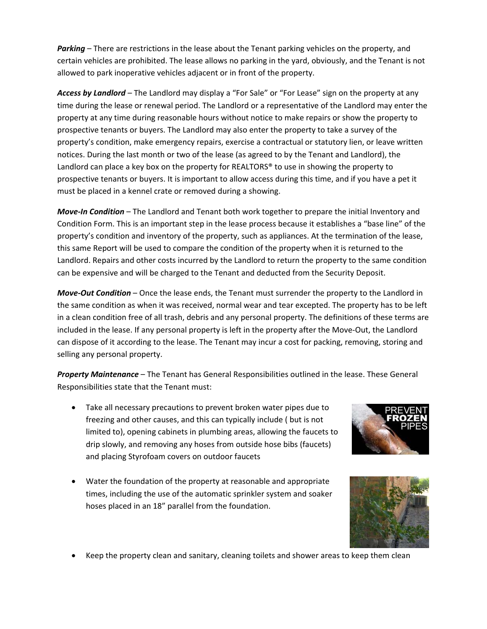Parking – There are restrictions in the lease about the Tenant parking vehicles on the property, and certain vehicles are prohibited. The lease allows no parking in the yard, obviously, and the Tenant is not allowed to park inoperative vehicles adjacent or in front of the property.

*Access by Landlord* – The Landlord may display a "For Sale" or "For Lease" sign on the property at any time during the lease or renewal period. The Landlord or a representative of the Landlord may enter the property at any time during reasonable hours without notice to make repairs or show the property to prospective tenants or buyers. The Landlord may also enter the property to take a survey of the property's condition, make emergency repairs, exercise a contractual or statutory lien, or leave written notices. During the last month or two of the lease (as agreed to by the Tenant and Landlord), the Landlord can place a key box on the property for REALTORS<sup>®</sup> to use in showing the property to prospective tenants or buyers. It is important to allow access during this time, and if you have a pet it must be placed in a kennel crate or removed during a showing.

*Move‐In Condition* – The Landlord and Tenant both work together to prepare the initial Inventory and Condition Form. This is an important step in the lease process because it establishes a "base line" of the property's condition and inventory of the property, such as appliances. At the termination of the lease, this same Report will be used to compare the condition of the property when it is returned to the Landlord. Repairs and other costs incurred by the Landlord to return the property to the same condition can be expensive and will be charged to the Tenant and deducted from the Security Deposit.

*Move‐Out Condition* – Once the lease ends, the Tenant must surrender the property to the Landlord in the same condition as when it was received, normal wear and tear excepted. The property has to be left in a clean condition free of all trash, debris and any personal property. The definitions of these terms are included in the lease. If any personal property is left in the property after the Move‐Out, the Landlord can dispose of it according to the lease. The Tenant may incur a cost for packing, removing, storing and selling any personal property.

*Property Maintenance* – The Tenant has General Responsibilities outlined in the lease. These General Responsibilities state that the Tenant must:

- Take all necessary precautions to prevent broken water pipes due to freezing and other causes, and this can typically include ( but is not limited to), opening cabinets in plumbing areas, allowing the faucets to drip slowly, and removing any hoses from outside hose bibs (faucets) and placing Styrofoam covers on outdoor faucets
- Water the foundation of the property at reasonable and appropriate times, including the use of the automatic sprinkler system and soaker hoses placed in an 18" parallel from the foundation.





Keep the property clean and sanitary, cleaning toilets and shower areas to keep them clean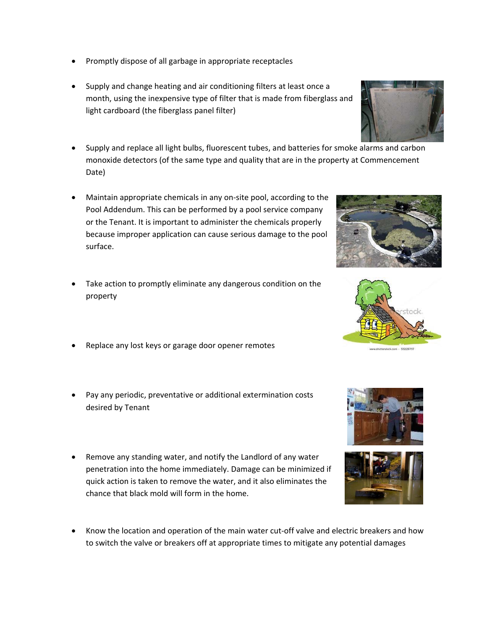- Promptly dispose of all garbage in appropriate receptacles
- Supply and change heating and air conditioning filters at least once a month, using the inexpensive type of filter that is made from fiberglass and light cardboard (the fiberglass panel filter)
- Supply and replace all light bulbs, fluorescent tubes, and batteries for smoke alarms and carbon monoxide detectors (of the same type and quality that are in the property at Commencement Date)
- Maintain appropriate chemicals in any on‐site pool, according to the Pool Addendum. This can be performed by a pool service company or the Tenant. It is important to administer the chemicals properly because improper application can cause serious damage to the pool surface.
- Take action to promptly eliminate any dangerous condition on the property
- Replace any lost keys or garage door opener remotes
- Pay any periodic, preventative or additional extermination costs desired by Tenant
- Remove any standing water, and notify the Landlord of any water penetration into the home immediately. Damage can be minimized if quick action is taken to remove the water, and it also eliminates the chance that black mold will form in the home.
- Know the location and operation of the main water cut-off valve and electric breakers and how to switch the valve or breakers off at appropriate times to mitigate any potential damages









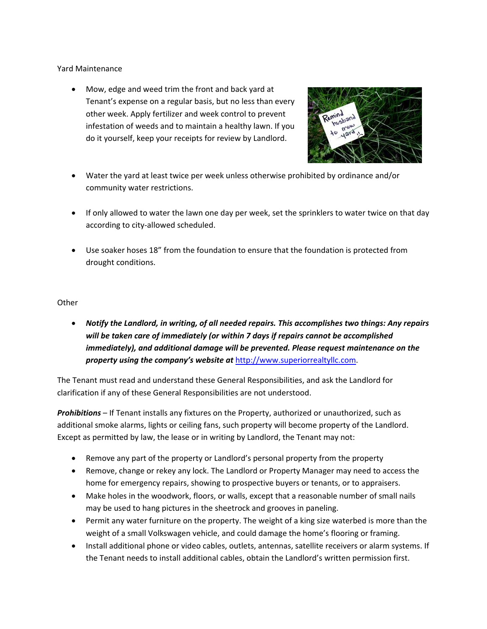Yard Maintenance

 Mow, edge and weed trim the front and back yard at Tenant's expense on a regular basis, but no less than every other week. Apply fertilizer and week control to prevent infestation of weeds and to maintain a healthy lawn. If you do it yourself, keep your receipts for review by Landlord.



- Water the yard at least twice per week unless otherwise prohibited by ordinance and/or community water restrictions.
- If only allowed to water the lawn one day per week, set the sprinklers to water twice on that day according to city‐allowed scheduled.
- Use soaker hoses 18" from the foundation to ensure that the foundation is protected from drought conditions.

## **Other**

 *Notify the Landlord, in writing, of all needed repairs. This accomplishes two things: Any repairs will be taken care of immediately (or within 7 days if repairs cannot be accomplished immediately), and additional damage will be prevented. Please request maintenance on the property using the company's website at* http://www.superiorrealtyllc.com.

The Tenant must read and understand these General Responsibilities, and ask the Landlord for clarification if any of these General Responsibilities are not understood.

*Prohibitions* – If Tenant installs any fixtures on the Property, authorized or unauthorized, such as additional smoke alarms, lights or ceiling fans, such property will become property of the Landlord. Except as permitted by law, the lease or in writing by Landlord, the Tenant may not:

- Remove any part of the property or Landlord's personal property from the property
- Remove, change or rekey any lock. The Landlord or Property Manager may need to access the home for emergency repairs, showing to prospective buyers or tenants, or to appraisers.
- Make holes in the woodwork, floors, or walls, except that a reasonable number of small nails may be used to hang pictures in the sheetrock and grooves in paneling.
- Permit any water furniture on the property. The weight of a king size waterbed is more than the weight of a small Volkswagen vehicle, and could damage the home's flooring or framing.
- Install additional phone or video cables, outlets, antennas, satellite receivers or alarm systems. If the Tenant needs to install additional cables, obtain the Landlord's written permission first.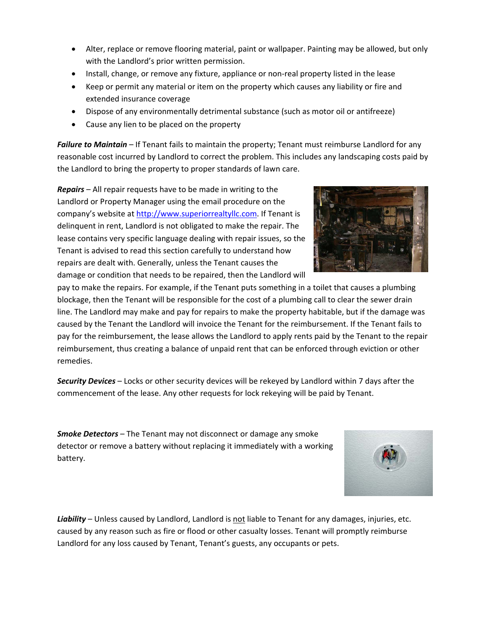- Alter, replace or remove flooring material, paint or wallpaper. Painting may be allowed, but only with the Landlord's prior written permission.
- Install, change, or remove any fixture, appliance or non-real property listed in the lease
- Keep or permit any material or item on the property which causes any liability or fire and extended insurance coverage
- Dispose of any environmentally detrimental substance (such as motor oil or antifreeze)
- Cause any lien to be placed on the property

*Failure to Maintain* – If Tenant fails to maintain the property; Tenant must reimburse Landlord for any reasonable cost incurred by Landlord to correct the problem. This includes any landscaping costs paid by the Landlord to bring the property to proper standards of lawn care.

*Repairs* – All repair requests have to be made in writing to the Landlord or Property Manager using the email procedure on the company's website at http://www.superiorrealtyllc.com. If Tenant is delinquent in rent, Landlord is not obligated to make the repair. The lease contains very specific language dealing with repair issues, so the Tenant is advised to read this section carefully to understand how repairs are dealt with. Generally, unless the Tenant causes the damage or condition that needs to be repaired, then the Landlord will



pay to make the repairs. For example, if the Tenant puts something in a toilet that causes a plumbing blockage, then the Tenant will be responsible for the cost of a plumbing call to clear the sewer drain line. The Landlord may make and pay for repairs to make the property habitable, but if the damage was caused by the Tenant the Landlord will invoice the Tenant for the reimbursement. If the Tenant fails to pay for the reimbursement, the lease allows the Landlord to apply rents paid by the Tenant to the repair reimbursement, thus creating a balance of unpaid rent that can be enforced through eviction or other remedies.

*Security Devices* – Locks or other security devices will be rekeyed by Landlord within 7 days after the commencement of the lease. Any other requests for lock rekeying will be paid by Tenant.

*Smoke Detectors* – The Tenant may not disconnect or damage any smoke detector or remove a battery without replacing it immediately with a working battery.

Liability – Unless caused by Landlord, Landlord is not liable to Tenant for any damages, injuries, etc. caused by any reason such as fire or flood or other casualty losses. Tenant will promptly reimburse Landlord for any loss caused by Tenant, Tenant's guests, any occupants or pets.

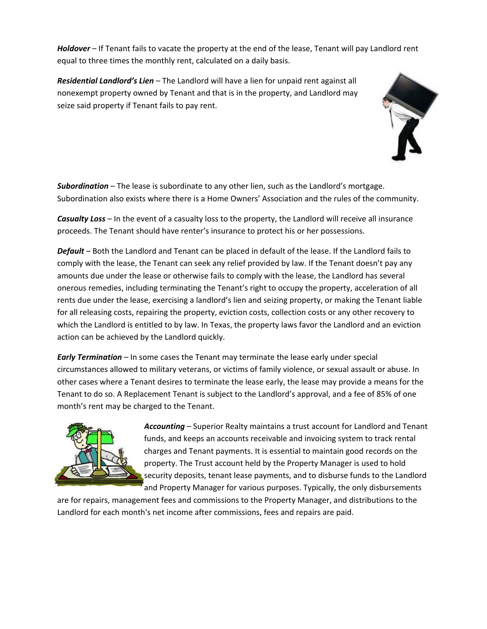*Holdover* – If Tenant fails to vacate the property at the end of the lease, Tenant will pay Landlord rent equal to three times the monthly rent, calculated on a daily basis.

*Residential Landlord's Lien* – The Landlord will have a lien for unpaid rent against all nonexempt property owned by Tenant and that is in the property, and Landlord may seize said property if Tenant fails to pay rent.



*Subordination* – The lease is subordinate to any other lien, such as the Landlord's mortgage. Subordination also exists where there is a Home Owners' Association and the rules of the community.

*Casualty Loss* – In the event of a casualty loss to the property, the Landlord will receive all insurance proceeds. The Tenant should have renter's insurance to protect his or her possessions.

*Default* – Both the Landlord and Tenant can be placed in default of the lease. If the Landlord fails to comply with the lease, the Tenant can seek any relief provided by law. If the Tenant doesn't pay any amounts due under the lease or otherwise fails to comply with the lease, the Landlord has several onerous remedies, including terminating the Tenant's right to occupy the property, acceleration of all rents due under the lease, exercising a landlord's lien and seizing property, or making the Tenant liable for all releasing costs, repairing the property, eviction costs, collection costs or any other recovery to which the Landlord is entitled to by law. In Texas, the property laws favor the Landlord and an eviction action can be achieved by the Landlord quickly.

*Early Termination* – In some cases the Tenant may terminate the lease early under special circumstances allowed to military veterans, or victims of family violence, or sexual assault or abuse. In other cases where a Tenant desires to terminate the lease early, the lease may provide a means for the Tenant to do so. A Replacement Tenant is subject to the Landlord's approval, and a fee of 85% of one month's rent may be charged to the Tenant.



*Accounting* – Superior Realty maintains a trust account for Landlord and Tenant funds, and keeps an accounts receivable and invoicing system to track rental charges and Tenant payments. It is essential to maintain good records on the property. The Trust account held by the Property Manager is used to hold security deposits, tenant lease payments, and to disburse funds to the Landlord and Property Manager for various purposes. Typically, the only disbursements

are for repairs, management fees and commissions to the Property Manager, and distributions to the Landlord for each month's net income after commissions, fees and repairs are paid.